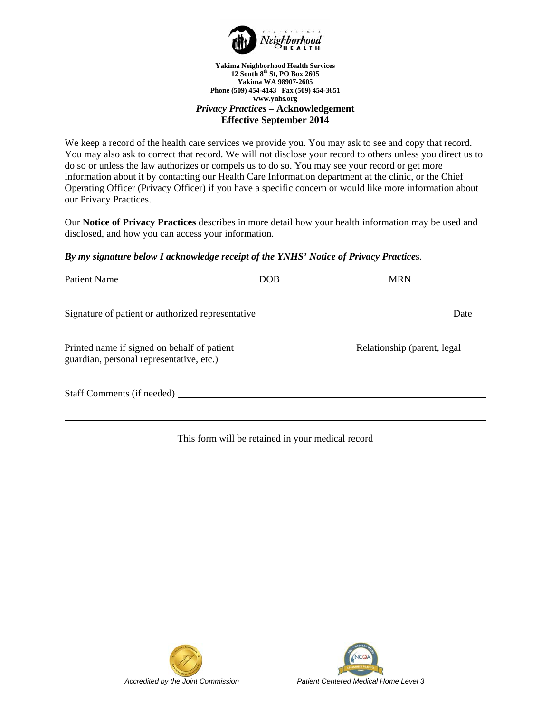

#### **Yakima Neighborhood Health Services 12 South 8th St, PO Box 2605 Yakima WA 98907-2605 Phone (509) 454-4143 Fax (509) 454-3651 www.ynhs.org** *Privacy Practices –* **Acknowledgement Effective September 2014**

We keep a record of the health care services we provide you. You may ask to see and copy that record. You may also ask to correct that record. We will not disclose your record to others unless you direct us to do so or unless the law authorizes or compels us to do so. You may see your record or get more information about it by contacting our Health Care Information department at the clinic, or the Chief Operating Officer (Privacy Officer) if you have a specific concern or would like more information about our Privacy Practices.

Our **Notice of Privacy Practices** describes in more detail how your health information may be used and disclosed, and how you can access your information.

## *By my signature below I acknowledge receipt of the YNHS' Notice of Privacy Practice*s.

| <b>Patient Name</b>                                                                     | DOB | <b>MRN</b>                   |
|-----------------------------------------------------------------------------------------|-----|------------------------------|
|                                                                                         |     |                              |
| Signature of patient or authorized representative                                       |     | Date                         |
|                                                                                         |     |                              |
| Printed name if signed on behalf of patient<br>guardian, personal representative, etc.) |     | Relationship (parent, legal) |
| Staff Comments (if needed)                                                              |     |                              |
|                                                                                         |     |                              |

## This form will be retained in your medical record



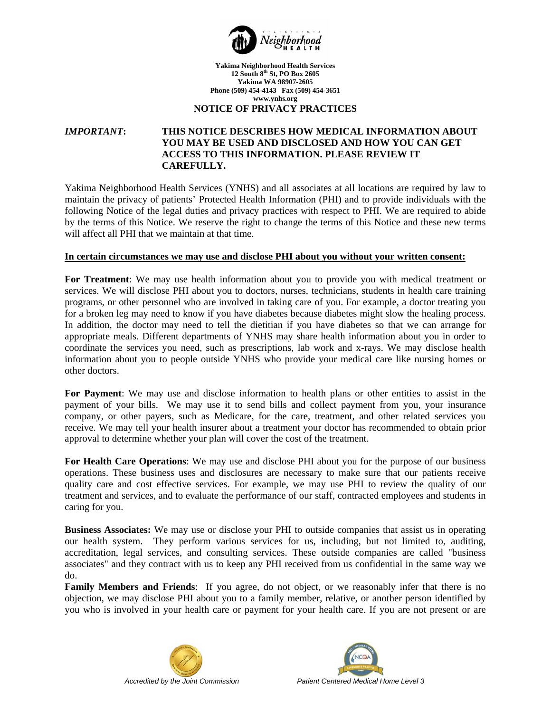

# **NOTICE OF PRIVACY PRACTICES**

# *IMPORTANT***: THIS NOTICE DESCRIBES HOW MEDICAL INFORMATION ABOUT YOU MAY BE USED AND DISCLOSED AND HOW YOU CAN GET ACCESS TO THIS INFORMATION. PLEASE REVIEW IT CAREFULLY.**

Yakima Neighborhood Health Services (YNHS) and all associates at all locations are required by law to maintain the privacy of patients' Protected Health Information (PHI) and to provide individuals with the following Notice of the legal duties and privacy practices with respect to PHI. We are required to abide by the terms of this Notice. We reserve the right to change the terms of this Notice and these new terms will affect all PHI that we maintain at that time.

#### **In certain circumstances we may use and disclose PHI about you without your written consent:**

**For Treatment**: We may use health information about you to provide you with medical treatment or services. We will disclose PHI about you to doctors, nurses, technicians, students in health care training programs, or other personnel who are involved in taking care of you. For example, a doctor treating you for a broken leg may need to know if you have diabetes because diabetes might slow the healing process. In addition, the doctor may need to tell the dietitian if you have diabetes so that we can arrange for appropriate meals. Different departments of YNHS may share health information about you in order to coordinate the services you need, such as prescriptions, lab work and x-rays. We may disclose health information about you to people outside YNHS who provide your medical care like nursing homes or other doctors.

**For Payment**: We may use and disclose information to health plans or other entities to assist in the payment of your bills. We may use it to send bills and collect payment from you, your insurance company, or other payers, such as Medicare, for the care, treatment, and other related services you receive. We may tell your health insurer about a treatment your doctor has recommended to obtain prior approval to determine whether your plan will cover the cost of the treatment.

**For Health Care Operations**: We may use and disclose PHI about you for the purpose of our business operations. These business uses and disclosures are necessary to make sure that our patients receive quality care and cost effective services. For example, we may use PHI to review the quality of our treatment and services, and to evaluate the performance of our staff, contracted employees and students in caring for you.

**Business Associates:** We may use or disclose your PHI to outside companies that assist us in operating our health system. They perform various services for us, including, but not limited to, auditing, accreditation, legal services, and consulting services. These outside companies are called "business associates" and they contract with us to keep any PHI received from us confidential in the same way we do.

**Family Members and Friends**: If you agree, do not object, or we reasonably infer that there is no objection, we may disclose PHI about you to a family member, relative, or another person identified by you who is involved in your health care or payment for your health care. If you are not present or are



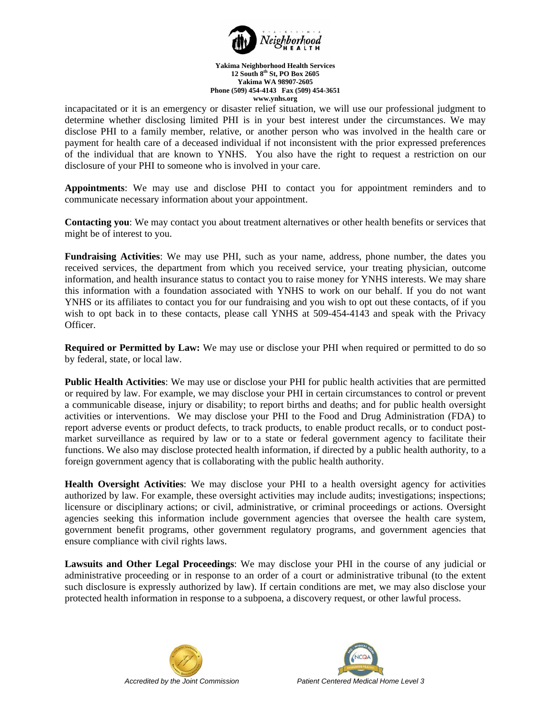

incapacitated or it is an emergency or disaster relief situation, we will use our professional judgment to determine whether disclosing limited PHI is in your best interest under the circumstances. We may disclose PHI to a family member, relative, or another person who was involved in the health care or payment for health care of a deceased individual if not inconsistent with the prior expressed preferences of the individual that are known to YNHS. You also have the right to request a restriction on our disclosure of your PHI to someone who is involved in your care.

**Appointments**: We may use and disclose PHI to contact you for appointment reminders and to communicate necessary information about your appointment.

**Contacting you**: We may contact you about treatment alternatives or other health benefits or services that might be of interest to you.

**Fundraising Activities**: We may use PHI, such as your name, address, phone number, the dates you received services, the department from which you received service, your treating physician, outcome information, and health insurance status to contact you to raise money for YNHS interests. We may share this information with a foundation associated with YNHS to work on our behalf. If you do not want YNHS or its affiliates to contact you for our fundraising and you wish to opt out these contacts, of if you wish to opt back in to these contacts, please call YNHS at 509-454-4143 and speak with the Privacy Officer.

**Required or Permitted by Law:** We may use or disclose your PHI when required or permitted to do so by federal, state, or local law.

**Public Health Activities**: We may use or disclose your PHI for public health activities that are permitted or required by law. For example, we may disclose your PHI in certain circumstances to control or prevent a communicable disease, injury or disability; to report births and deaths; and for public health oversight activities or interventions. We may disclose your PHI to the Food and Drug Administration (FDA) to report adverse events or product defects, to track products, to enable product recalls, or to conduct postmarket surveillance as required by law or to a state or federal government agency to facilitate their functions. We also may disclose protected health information, if directed by a public health authority, to a foreign government agency that is collaborating with the public health authority.

**Health Oversight Activities**: We may disclose your PHI to a health oversight agency for activities authorized by law. For example, these oversight activities may include audits; investigations; inspections; licensure or disciplinary actions; or civil, administrative, or criminal proceedings or actions. Oversight agencies seeking this information include government agencies that oversee the health care system, government benefit programs, other government regulatory programs, and government agencies that ensure compliance with civil rights laws.

**Lawsuits and Other Legal Proceedings**: We may disclose your PHI in the course of any judicial or administrative proceeding or in response to an order of a court or administrative tribunal (to the extent such disclosure is expressly authorized by law). If certain conditions are met, we may also disclose your protected health information in response to a subpoena, a discovery request, or other lawful process.



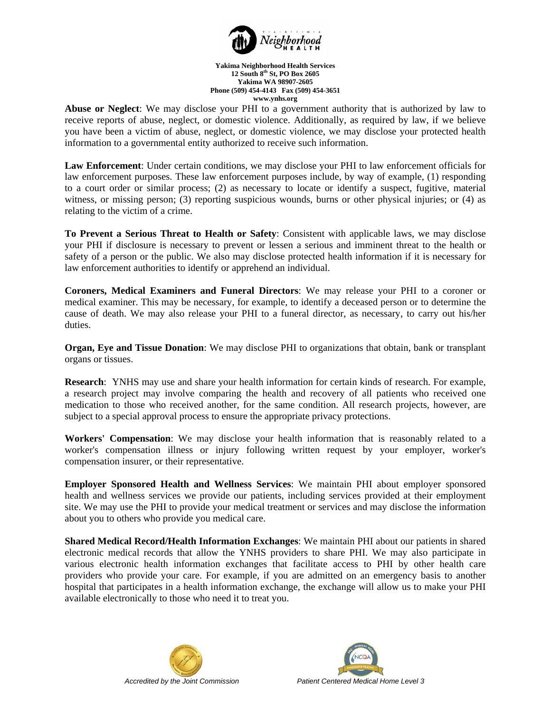

**Abuse or Neglect**: We may disclose your PHI to a government authority that is authorized by law to receive reports of abuse, neglect, or domestic violence. Additionally, as required by law, if we believe you have been a victim of abuse, neglect, or domestic violence, we may disclose your protected health information to a governmental entity authorized to receive such information.

**Law Enforcement**: Under certain conditions, we may disclose your PHI to law enforcement officials for law enforcement purposes. These law enforcement purposes include, by way of example, (1) responding to a court order or similar process; (2) as necessary to locate or identify a suspect, fugitive, material witness, or missing person; (3) reporting suspicious wounds, burns or other physical injuries; or (4) as relating to the victim of a crime.

**To Prevent a Serious Threat to Health or Safety**: Consistent with applicable laws, we may disclose your PHI if disclosure is necessary to prevent or lessen a serious and imminent threat to the health or safety of a person or the public. We also may disclose protected health information if it is necessary for law enforcement authorities to identify or apprehend an individual.

**Coroners, Medical Examiners and Funeral Directors**: We may release your PHI to a coroner or medical examiner. This may be necessary, for example, to identify a deceased person or to determine the cause of death. We may also release your PHI to a funeral director, as necessary, to carry out his/her duties.

**Organ, Eye and Tissue Donation**: We may disclose PHI to organizations that obtain, bank or transplant organs or tissues.

**Research**: YNHS may use and share your health information for certain kinds of research. For example, a research project may involve comparing the health and recovery of all patients who received one medication to those who received another, for the same condition. All research projects, however, are subject to a special approval process to ensure the appropriate privacy protections.

**Workers' Compensation**: We may disclose your health information that is reasonably related to a worker's compensation illness or injury following written request by your employer, worker's compensation insurer, or their representative.

**Employer Sponsored Health and Wellness Services**: We maintain PHI about employer sponsored health and wellness services we provide our patients, including services provided at their employment site. We may use the PHI to provide your medical treatment or services and may disclose the information about you to others who provide you medical care.

**Shared Medical Record/Health Information Exchanges**: We maintain PHI about our patients in shared electronic medical records that allow the YNHS providers to share PHI. We may also participate in various electronic health information exchanges that facilitate access to PHI by other health care providers who provide your care. For example, if you are admitted on an emergency basis to another hospital that participates in a health information exchange, the exchange will allow us to make your PHI available electronically to those who need it to treat you.



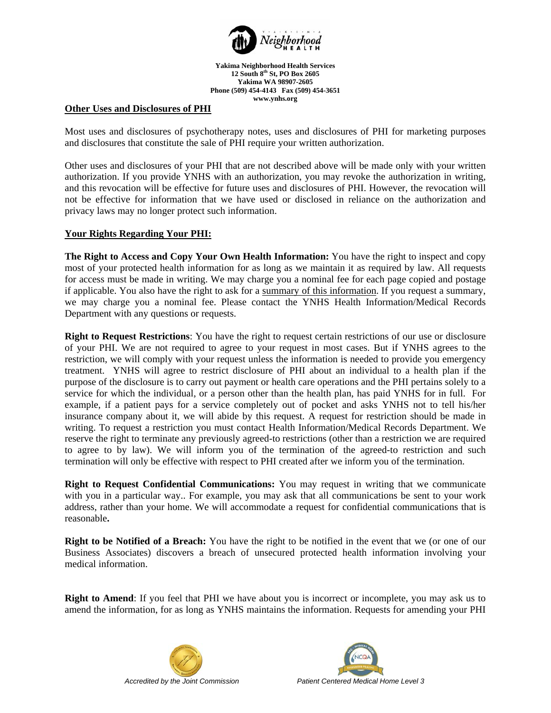

# **Other Uses and Disclosures of PHI**

Most uses and disclosures of psychotherapy notes, uses and disclosures of PHI for marketing purposes and disclosures that constitute the sale of PHI require your written authorization.

Other uses and disclosures of your PHI that are not described above will be made only with your written authorization. If you provide YNHS with an authorization, you may revoke the authorization in writing, and this revocation will be effective for future uses and disclosures of PHI. However, the revocation will not be effective for information that we have used or disclosed in reliance on the authorization and privacy laws may no longer protect such information.

## **Your Rights Regarding Your PHI:**

**The Right to Access and Copy Your Own Health Information:** You have the right to inspect and copy most of your protected health information for as long as we maintain it as required by law. All requests for access must be made in writing. We may charge you a nominal fee for each page copied and postage if applicable. You also have the right to ask for a summary of this information. If you request a summary, we may charge you a nominal fee. Please contact the YNHS Health Information/Medical Records Department with any questions or requests.

**Right to Request Restrictions**: You have the right to request certain restrictions of our use or disclosure of your PHI. We are not required to agree to your request in most cases. But if YNHS agrees to the restriction, we will comply with your request unless the information is needed to provide you emergency treatment. YNHS will agree to restrict disclosure of PHI about an individual to a health plan if the purpose of the disclosure is to carry out payment or health care operations and the PHI pertains solely to a service for which the individual, or a person other than the health plan, has paid YNHS for in full. For example, if a patient pays for a service completely out of pocket and asks YNHS not to tell his/her insurance company about it, we will abide by this request. A request for restriction should be made in writing. To request a restriction you must contact Health Information/Medical Records Department. We reserve the right to terminate any previously agreed-to restrictions (other than a restriction we are required to agree to by law). We will inform you of the termination of the agreed-to restriction and such termination will only be effective with respect to PHI created after we inform you of the termination.

**Right to Request Confidential Communications:** You may request in writing that we communicate with you in a particular way.. For example, you may ask that all communications be sent to your work address, rather than your home. We will accommodate a request for confidential communications that is reasonable**.**

**Right to be Notified of a Breach:** You have the right to be notified in the event that we (or one of our Business Associates) discovers a breach of unsecured protected health information involving your medical information.

**Right to Amend**: If you feel that PHI we have about you is incorrect or incomplete, you may ask us to amend the information, for as long as YNHS maintains the information. Requests for amending your PHI